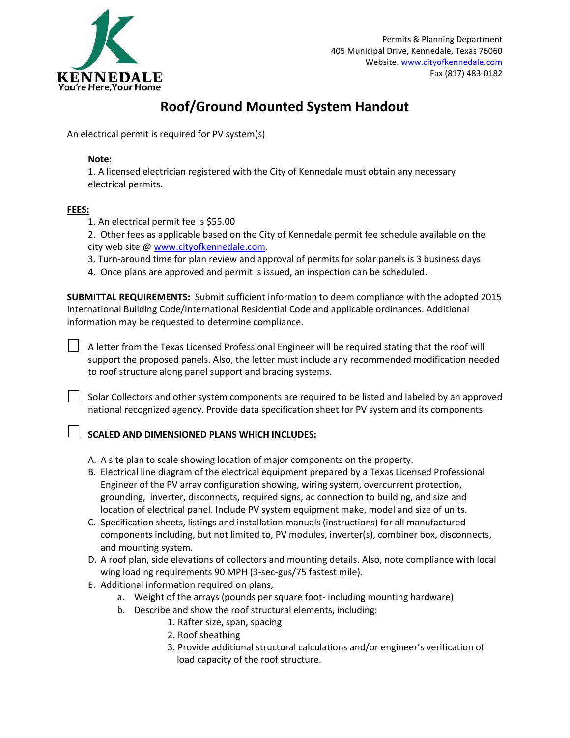

# **Roof/Ground Mounted System Handout**

An electrical permit is required for PV system(s)

### **Note:**

1. A licensed electrician registered with the City of Kennedale must obtain any necessary electrical permits.

### **FEES:**

- 1. An electrical permit fee is \$55.00
- 2. Other fees as applicable based on the City of Kennedale permit fee schedule available on the city web site @ [www.cityofkennedale.com.](http://www.cityofkennedale.com/)
- 3. Turn-around time for plan review and approval of permits for solar panels is 3 business days
- 4. Once plans are approved and permit is issued, an inspection can be scheduled.

**SUBMITTAL REQUIREMENTS:** Submit sufficient information to deem compliance with the adopted 2015 International Building Code/International Residential Code and applicable ordinances. Additional information may be requested to determine compliance.

A letter from the Texas Licensed Professional Engineer will be required stating that the roof will support the proposed panels. Also, the letter must include any recommended modification needed to roof structure along panel support and bracing systems.

Solar Collectors and other system components are required to be listed and labeled by an approved national recognized agency. Provide data specification sheet for PV system and its components.

## **SCALED AND DIMENSIONED PLANS WHICH INCLUDES:**

- A. A site plan to scale showing location of major components on the property.
- B. Electrical line diagram of the electrical equipment prepared by a Texas Licensed Professional Engineer of the PV array configuration showing, wiring system, overcurrent protection, grounding, inverter, disconnects, required signs, ac connection to building, and size and location of electrical panel. Include PV system equipment make, model and size of units.
- C. Specification sheets, listings and installation manuals (instructions) for all manufactured components including, but not limited to, PV modules, inverter(s), combiner box, disconnects, and mounting system.
- D. A roof plan, side elevations of collectors and mounting details. Also, note compliance with local wing loading requirements 90 MPH (3-sec-gus/75 fastest mile).
- E. Additional information required on plans,
	- a. Weight of the arrays (pounds per square foot- including mounting hardware)
	- b. Describe and show the roof structural elements, including:
		- 1. Rafter size, span, spacing
		- 2. Roof sheathing
		- 3. Provide additional structural calculations and/or engineer's verification of load capacity of the roof structure.